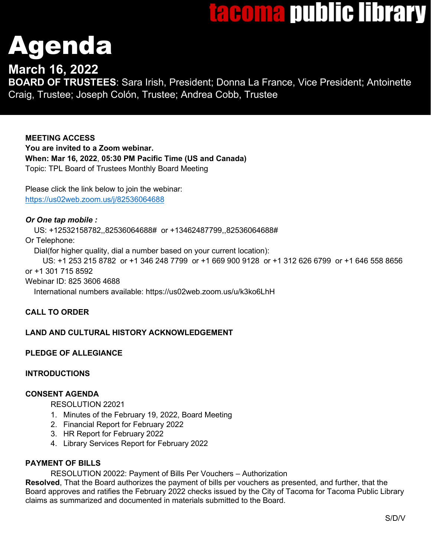# tacoma public library

# Agenda

# **March 16, 2022**

**BOARD OF TRUSTEES**: Sara Irish, President; Donna La France, Vice President; Antoinette Craig, Trustee; Joseph Colón, Trustee; Andrea Cobb, Trustee

**MEETING ACCESS You are invited to a Zoom webinar. When: Mar 16, 2022**, **05:30 PM Pacific Time (US and Canada)** Topic: TPL Board of Trustees Monthly Board Meeting

Please click the link below to join the webinar: <https://us02web.zoom.us/j/82536064688>

## *Or One tap mobile :*

US: +12532158782,,82536064688# or +13462487799,,82536064688#

Or Telephone:

Dial(for higher quality, dial a number based on your current location):

 US: +1 253 215 8782 or +1 346 248 7799 or +1 669 900 9128 or +1 312 626 6799 or +1 646 558 8656 or +1 301 715 8592

Webinar ID: 825 3606 4688

International numbers available: https://us02web.zoom.us/u/k3ko6LhH

# **CALL TO ORDER**

# **LAND AND CULTURAL HISTORY ACKNOWLEDGEMENT**

# **PLEDGE OF ALLEGIANCE**

### **INTRODUCTIONS**

### **CONSENT AGENDA**

RESOLUTION 22021

- 1. Minutes of the February 19, 2022, Board Meeting
- 2. Financial Report for February 2022
- 3. HR Report for February 2022
- 4. Library Services Report for February 2022

### **PAYMENT OF BILLS**

RESOLUTION 20022: Payment of Bills Per Vouchers – Authorization

**Resolved**, That the Board authorizes the payment of bills per vouchers as presented, and further, that the Board approves and ratifies the February 2022 checks issued by the City of Tacoma for Tacoma Public Library claims as summarized and documented in materials submitted to the Board.